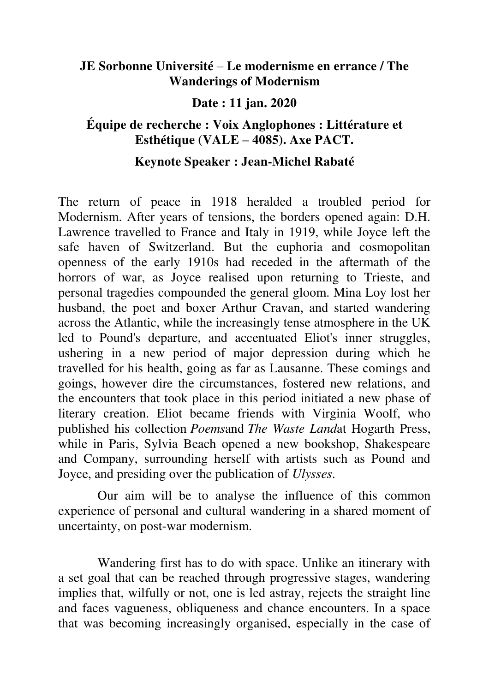## **JE Sorbonne Université** – **Le modernisme en errance / The Wanderings of Modernism**

### **Date : 11 jan. 2020**

# **Équipe de recherche : Voix Anglophones : Littérature et Esthétique (VALE – 4085). Axe PACT.**

### **Keynote Speaker : Jean-Michel Rabaté**

The return of peace in 1918 heralded a troubled period for Modernism. After years of tensions, the borders opened again: D.H. Lawrence travelled to France and Italy in 1919, while Joyce left the safe haven of Switzerland. But the euphoria and cosmopolitan openness of the early 1910s had receded in the aftermath of the horrors of war, as Joyce realised upon returning to Trieste, and personal tragedies compounded the general gloom. Mina Loy lost her husband, the poet and boxer Arthur Cravan, and started wandering across the Atlantic, while the increasingly tense atmosphere in the UK led to Pound's departure, and accentuated Eliot's inner struggles, ushering in a new period of major depression during which he travelled for his health, going as far as Lausanne. These comings and goings, however dire the circumstances, fostered new relations, and the encounters that took place in this period initiated a new phase of literary creation. Eliot became friends with Virginia Woolf, who published his collection *Poems*and *The Waste Land*at Hogarth Press, while in Paris, Sylvia Beach opened a new bookshop, Shakespeare and Company, surrounding herself with artists such as Pound and Joyce, and presiding over the publication of *Ulysses*.

 Our aim will be to analyse the influence of this common experience of personal and cultural wandering in a shared moment of uncertainty, on post-war modernism.

 Wandering first has to do with space. Unlike an itinerary with a set goal that can be reached through progressive stages, wandering implies that, wilfully or not, one is led astray, rejects the straight line and faces vagueness, obliqueness and chance encounters. In a space that was becoming increasingly organised, especially in the case of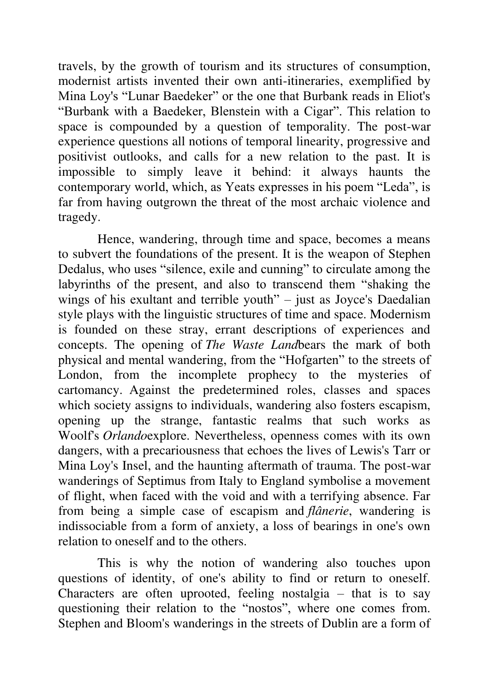travels, by the growth of tourism and its structures of consumption, modernist artists invented their own anti-itineraries, exemplified by Mina Loy's "Lunar Baedeker" or the one that Burbank reads in Eliot's "Burbank with a Baedeker, Blenstein with a Cigar". This relation to space is compounded by a question of temporality. The post-war experience questions all notions of temporal linearity, progressive and positivist outlooks, and calls for a new relation to the past. It is impossible to simply leave it behind: it always haunts the contemporary world, which, as Yeats expresses in his poem "Leda", is far from having outgrown the threat of the most archaic violence and tragedy.

 Hence, wandering, through time and space, becomes a means to subvert the foundations of the present. It is the weapon of Stephen Dedalus, who uses "silence, exile and cunning" to circulate among the labyrinths of the present, and also to transcend them "shaking the wings of his exultant and terrible youth" – just as Joyce's Daedalian style plays with the linguistic structures of time and space. Modernism is founded on these stray, errant descriptions of experiences and concepts. The opening of *The Waste Land*bears the mark of both physical and mental wandering, from the "Hofgarten" to the streets of London, from the incomplete prophecy to the mysteries of cartomancy. Against the predetermined roles, classes and spaces which society assigns to individuals, wandering also fosters escapism, opening up the strange, fantastic realms that such works as Woolf's *Orlando*explore. Nevertheless, openness comes with its own dangers, with a precariousness that echoes the lives of Lewis's Tarr or Mina Loy's Insel, and the haunting aftermath of trauma. The post-war wanderings of Septimus from Italy to England symbolise a movement of flight, when faced with the void and with a terrifying absence. Far from being a simple case of escapism and *flânerie*, wandering is indissociable from a form of anxiety, a loss of bearings in one's own relation to oneself and to the others.

 This is why the notion of wandering also touches upon questions of identity, of one's ability to find or return to oneself. Characters are often uprooted, feeling nostalgia – that is to say questioning their relation to the "nostos", where one comes from. Stephen and Bloom's wanderings in the streets of Dublin are a form of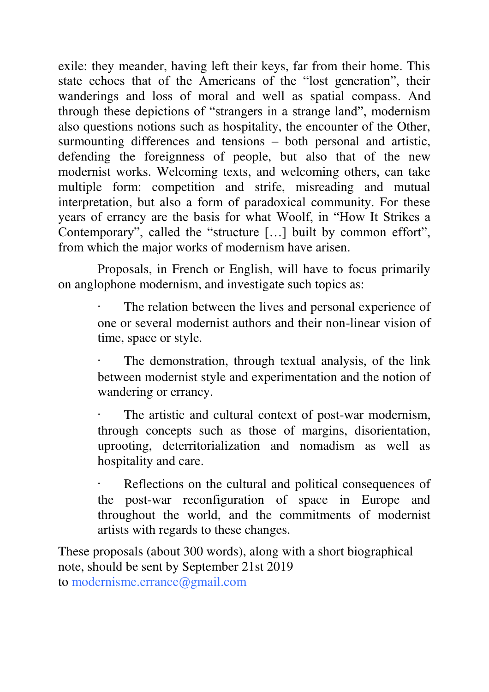exile: they meander, having left their keys, far from their home. This state echoes that of the Americans of the "lost generation", their wanderings and loss of moral and well as spatial compass. And through these depictions of "strangers in a strange land", modernism also questions notions such as hospitality, the encounter of the Other, surmounting differences and tensions – both personal and artistic, defending the foreignness of people, but also that of the new modernist works. Welcoming texts, and welcoming others, can take multiple form: competition and strife, misreading and mutual interpretation, but also a form of paradoxical community. For these years of errancy are the basis for what Woolf, in "How It Strikes a Contemporary", called the "structure […] built by common effort", from which the major works of modernism have arisen.

 Proposals, in French or English, will have to focus primarily on anglophone modernism, and investigate such topics as:

> The relation between the lives and personal experience of one or several modernist authors and their non-linear vision of time, space or style.

> The demonstration, through textual analysis, of the link between modernist style and experimentation and the notion of wandering or errancy.

> The artistic and cultural context of post-war modernism, through concepts such as those of margins, disorientation, uprooting, deterritorialization and nomadism as well as hospitality and care.

> Reflections on the cultural and political consequences of the post-war reconfiguration of space in Europe and throughout the world, and the commitments of modernist artists with regards to these changes.

These proposals (about 300 words), along with a short biographical note, should be sent by September 21st 2019 to [modernisme.errance@gmail.com](mailto:modernisme.errance@gmail.com)